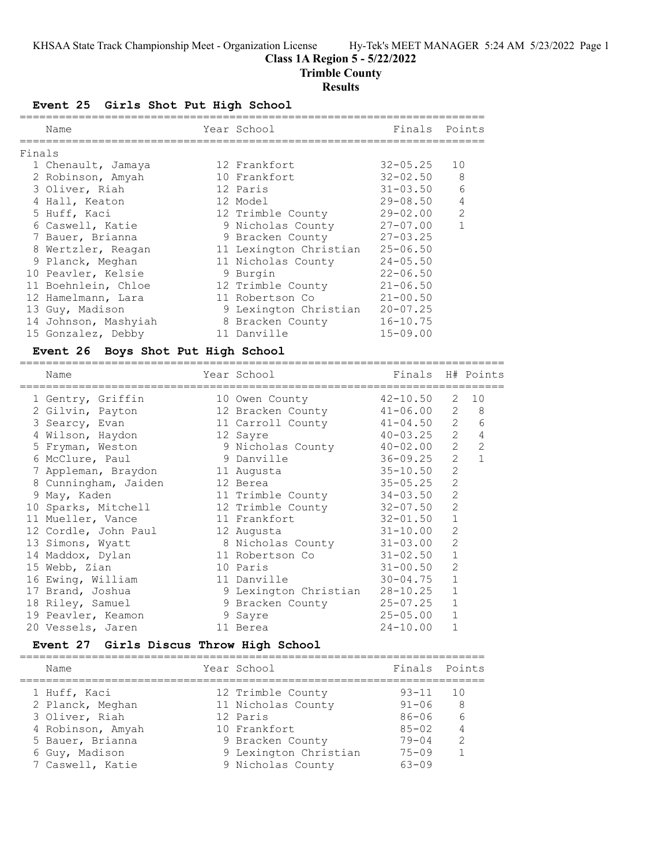# **Class 1A Region 5 - 5/22/2022**

**Trimble County**

# **Results**

**Event 25 Girls Shot Put High School**

|        | Name                 | Year School            | Finals       | Points         |
|--------|----------------------|------------------------|--------------|----------------|
| Finals |                      |                        |              |                |
|        | 1 Chenault, Jamaya   | 12 Frankfort           | $32 - 05.25$ | 10             |
|        | 2 Robinson, Amyah    | 10 Frankfort           | $32 - 02.50$ | 8              |
|        | 3 Oliver, Riah       | 12 Paris               | $31 - 03.50$ | 6              |
|        | 4 Hall, Keaton       | 12 Model               | $29 - 08.50$ | 4              |
|        | 5 Huff, Kaci         | 12 Trimble County      | $29 - 02.00$ | $\overline{2}$ |
|        | 6 Caswell, Katie     | 9 Nicholas County      | $27 - 07.00$ | $\mathbf{1}$   |
|        | 7 Bauer, Brianna     | 9 Bracken County       | $27 - 03.25$ |                |
|        | 8 Wertzler, Reagan   | 11 Lexington Christian | $25 - 06.50$ |                |
|        | 9 Planck, Meghan     | 11 Nicholas County     | $24 - 05.50$ |                |
|        | 10 Peavler, Kelsie   | 9 Burgin               | $22 - 06.50$ |                |
|        | 11 Boehnlein, Chloe  | 12 Trimble County      | $21 - 06.50$ |                |
|        | 12 Hamelmann, Lara   | 11 Robertson Co        | $21 - 00.50$ |                |
|        | 13 Guy, Madison      | 9 Lexington Christian  | $20 - 07.25$ |                |
|        | 14 Johnson, Mashyiah | 8 Bracken County       | $16 - 10.75$ |                |
|        | 15 Gonzalez, Debby   | 11 Danville            | $15 - 09.00$ |                |
|        |                      |                        |              |                |

# **Event 26 Boys Shot Put High School**

| Name |                                                                                                                                                                                                                                                                                                                              |                                                                                                         |                                                                                                                                                                   |                                                                                                                                                        |                                                                                                                                                                                                                                                                                                     |
|------|------------------------------------------------------------------------------------------------------------------------------------------------------------------------------------------------------------------------------------------------------------------------------------------------------------------------------|---------------------------------------------------------------------------------------------------------|-------------------------------------------------------------------------------------------------------------------------------------------------------------------|--------------------------------------------------------------------------------------------------------------------------------------------------------|-----------------------------------------------------------------------------------------------------------------------------------------------------------------------------------------------------------------------------------------------------------------------------------------------------|
|      |                                                                                                                                                                                                                                                                                                                              |                                                                                                         |                                                                                                                                                                   | 2                                                                                                                                                      | 10                                                                                                                                                                                                                                                                                                  |
|      |                                                                                                                                                                                                                                                                                                                              |                                                                                                         |                                                                                                                                                                   |                                                                                                                                                        |                                                                                                                                                                                                                                                                                                     |
|      |                                                                                                                                                                                                                                                                                                                              |                                                                                                         |                                                                                                                                                                   |                                                                                                                                                        | 6                                                                                                                                                                                                                                                                                                   |
|      |                                                                                                                                                                                                                                                                                                                              |                                                                                                         |                                                                                                                                                                   | 2                                                                                                                                                      | $\overline{4}$                                                                                                                                                                                                                                                                                      |
|      |                                                                                                                                                                                                                                                                                                                              |                                                                                                         |                                                                                                                                                                   |                                                                                                                                                        | $2 \quad 2$                                                                                                                                                                                                                                                                                         |
|      |                                                                                                                                                                                                                                                                                                                              |                                                                                                         |                                                                                                                                                                   | $\overline{2}$                                                                                                                                         | $\mathbf{1}$                                                                                                                                                                                                                                                                                        |
|      |                                                                                                                                                                                                                                                                                                                              |                                                                                                         |                                                                                                                                                                   | $\overline{2}$                                                                                                                                         |                                                                                                                                                                                                                                                                                                     |
|      |                                                                                                                                                                                                                                                                                                                              |                                                                                                         |                                                                                                                                                                   | $\overline{c}$                                                                                                                                         |                                                                                                                                                                                                                                                                                                     |
|      |                                                                                                                                                                                                                                                                                                                              |                                                                                                         |                                                                                                                                                                   | $\overline{2}$                                                                                                                                         |                                                                                                                                                                                                                                                                                                     |
|      |                                                                                                                                                                                                                                                                                                                              |                                                                                                         |                                                                                                                                                                   | $\overline{2}$                                                                                                                                         |                                                                                                                                                                                                                                                                                                     |
|      |                                                                                                                                                                                                                                                                                                                              |                                                                                                         | $32 - 01.50$                                                                                                                                                      | $\mathbf{1}$                                                                                                                                           |                                                                                                                                                                                                                                                                                                     |
|      |                                                                                                                                                                                                                                                                                                                              |                                                                                                         |                                                                                                                                                                   | $\overline{2}$                                                                                                                                         |                                                                                                                                                                                                                                                                                                     |
|      |                                                                                                                                                                                                                                                                                                                              |                                                                                                         |                                                                                                                                                                   | $\overline{2}$                                                                                                                                         |                                                                                                                                                                                                                                                                                                     |
|      |                                                                                                                                                                                                                                                                                                                              |                                                                                                         |                                                                                                                                                                   | $\mathbf{1}$                                                                                                                                           |                                                                                                                                                                                                                                                                                                     |
|      |                                                                                                                                                                                                                                                                                                                              |                                                                                                         | $31 - 00.50$                                                                                                                                                      | $\overline{2}$                                                                                                                                         |                                                                                                                                                                                                                                                                                                     |
|      |                                                                                                                                                                                                                                                                                                                              |                                                                                                         | $30 - 04.75$                                                                                                                                                      | $\mathbf{1}$                                                                                                                                           |                                                                                                                                                                                                                                                                                                     |
|      |                                                                                                                                                                                                                                                                                                                              |                                                                                                         |                                                                                                                                                                   | $\mathbf 1$                                                                                                                                            |                                                                                                                                                                                                                                                                                                     |
|      |                                                                                                                                                                                                                                                                                                                              |                                                                                                         |                                                                                                                                                                   | $\mathbf{1}$                                                                                                                                           |                                                                                                                                                                                                                                                                                                     |
|      |                                                                                                                                                                                                                                                                                                                              |                                                                                                         | $25 - 05.00$                                                                                                                                                      | $\mathbf{1}$                                                                                                                                           |                                                                                                                                                                                                                                                                                                     |
|      |                                                                                                                                                                                                                                                                                                                              |                                                                                                         | $24 - 10.00$                                                                                                                                                      | $\mathbf{1}$                                                                                                                                           |                                                                                                                                                                                                                                                                                                     |
|      | 1 Gentry, Griffin<br>3 Searcy, Evan<br>4 Wilson, Haydon<br>5 Fryman, Weston<br>6 McClure, Paul<br>8 Cunningham, Jaiden<br>9 May, Kaden<br>11 Mueller, Vance<br>13 Simons, Wyatt<br>14 Maddox, Dylan<br>15 Webb, Zian<br>16 Ewing, William<br>17 Brand, Joshua<br>18 Riley, Samuel<br>19 Peavler, Keamon<br>20 Vessels, Jaren | =============<br>2 Gilvin, Payton<br>7 Appleman, Braydon<br>10 Sparks, Mitchell<br>12 Cordle, John Paul | Year School<br>10 Owen County<br>12 Sayre<br>9 Danville<br>11 Augusta<br>12 Berea<br>11 Frankfort<br>12 Augusta<br>10 Paris<br>11 Danville<br>9 Sayre<br>11 Berea | ---------------------------<br>11 Trimble County<br>12 Trimble County<br>$31 - 10.00$<br>8 Nicholas County<br>11 Robertson Co<br>9 Lexington Christian | Finals H# Points<br>$42 - 10.50$<br>12 Bracken County 41-06.00 2 8<br>11 Carroll County 41-04.50 2<br>$40 - 03.25$<br>9 Nicholas County $40-02.00$<br>36-09.25<br>$35 - 10.50$<br>$35 - 05.25$<br>34-03.50<br>32-07.50<br>$31 - 03.00$<br>$31 - 02.50$<br>$28 - 10.25$<br>9 Bracken County 25-07.25 |

# **Event 27 Girls Discus Throw High School**

| Name                             | Year School                             | Finals Points          |                |
|----------------------------------|-----------------------------------------|------------------------|----------------|
| 1 Huff, Kaci<br>2 Planck, Meghan | 12 Trimble County<br>11 Nicholas County | $93 - 11$<br>$91 - 06$ | 10<br>8        |
| 3 Oliver, Riah                   | 12 Paris                                | $86 - 06$              | 6              |
| 4 Robinson, Amyah                | 10 Frankfort                            | $8.5 - 0.2$            | $\overline{4}$ |
| 5 Bauer, Brianna                 | 9 Bracken County                        | $79 - 04$              | $\mathcal{P}$  |
| 6 Guy, Madison                   | 9 Lexington Christian                   | $75 - 09$              |                |
| 7 Caswell, Katie                 | 9 Nicholas County                       | $63 - 09$              |                |
|                                  |                                         |                        |                |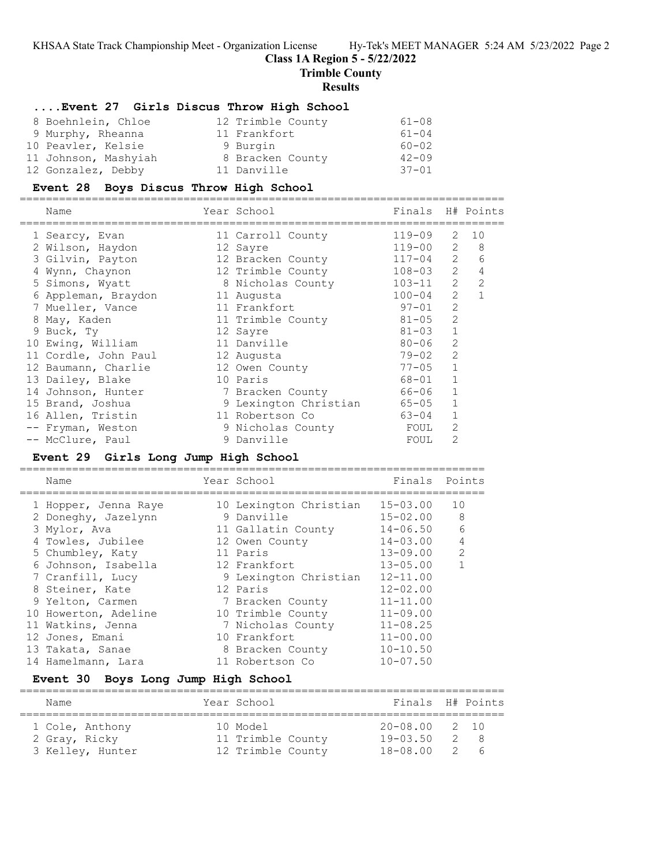#### **Class 1A Region 5 - 5/22/2022**

**Trimble County**

#### **Results**

#### **....Event 27 Girls Discus Throw High School**

| 8 Boehnlein, Chloe   | 12 Trimble County | $61 - 08$ |
|----------------------|-------------------|-----------|
| 9 Murphy, Rheanna    | 11 Frankfort      | $61 - 04$ |
| 10 Peavler, Kelsie   | 9 Burgin          | $60 - 02$ |
| 11 Johnson, Mashyiah | 8 Bracken County  | $42 - 09$ |
| 12 Gonzalez, Debby   | 11 Danville       | $37 - 01$ |

#### **Event 28 Boys Discus Throw High School**

========================================================================== Name Year School Finals H# Points ========================================================================== 1 Searcy, Evan 11 Carroll County 119-09 2 10 2 Wilson, Haydon 12 Sayre 119-00 2 8 3 Gilvin, Payton 12 Bracken County 117-04 2 6 4 Wynn, Chaynon 12 Trimble County 108-03 2 4 5 Simons, Wyatt 8 Nicholas County 103-11 2 2 6 Appleman, Braydon 11 Augusta 100-04 2 1 7 Mueller, Vance  $11$  Frankfort 97-01 2 8 May, Kaden 11 Trimble County 81-05 2 9 Buck, Ty 12 Sayre 81-03 1 10 Ewing, William 11 Danville 80-06 2 11 Cordle, John Paul 12 Augusta 79-02 2 12 Baumann, Charlie 12 Owen County 77-05 1 13 Dailey, Blake 10 Paris 10 - 68-01 1 14 Johnson, Hunter 7 Bracken County 66-06 1 15 Brand, Joshua 9 Lexington Christian 65-05 1 16 Allen, Tristin 11 Robertson Co 63-04 1 -- Fryman, Weston 9 Nicholas County FOUL 2 -- McClure, Paul 9 Danville FOUL 2

# **Event 29 Girls Long Jump High School**

=======================================================================

| Name                 | Year School            | Finals       | Points         |
|----------------------|------------------------|--------------|----------------|
| 1 Hopper, Jenna Raye | 10 Lexington Christian | 15-03.00     | 10             |
| 2 Doneghy, Jazelynn  | 9 Danville             | $15 - 02.00$ | 8              |
| 3 Mylor, Ava         | 11 Gallatin County     | $14 - 06.50$ | 6              |
| 4 Towles, Jubilee    | 12 Owen County         | $14 - 03.00$ | $\overline{4}$ |
| 5 Chumbley, Katy     | 11 Paris               | $13 - 09.00$ | $\mathcal{L}$  |
| 6 Johnson, Isabella  | 12 Frankfort           | $13 - 05.00$ |                |
| 7 Cranfill, Lucy     | 9 Lexington Christian  | $12 - 11.00$ |                |
| 8 Steiner, Kate      | 12 Paris               | $12 - 02.00$ |                |
| 9 Yelton, Carmen     | 7 Bracken County       | $11 - 11.00$ |                |
| 10 Howerton, Adeline | 10 Trimble County      | $11 - 09.00$ |                |
| 11 Watkins, Jenna    | 7 Nicholas County      | $11 - 08.25$ |                |
| 12 Jones, Emani      | 10 Frankfort           | $11 - 00.00$ |                |
| 13 Takata, Sanae     | 8 Bracken County       | $10 - 10.50$ |                |
| 14 Hamelmann, Lara   | 11 Robertson Co        | $10 - 07.50$ |                |
|                      |                        |              |                |

## **Event 30 Boys Long Jump High School**

| Name             | Year School       | Finals H# Points  |     |     |
|------------------|-------------------|-------------------|-----|-----|
|                  |                   |                   |     |     |
| 1 Cole, Anthony  | 10 Model          | $20 - 08.00$ 2 10 |     |     |
| 2 Gray, Ricky    | 11 Trimble County | 19-03.50          | -2  | - 8 |
| 3 Kelley, Hunter | 12 Trimble County | 18-08.00          | -2. | - 6 |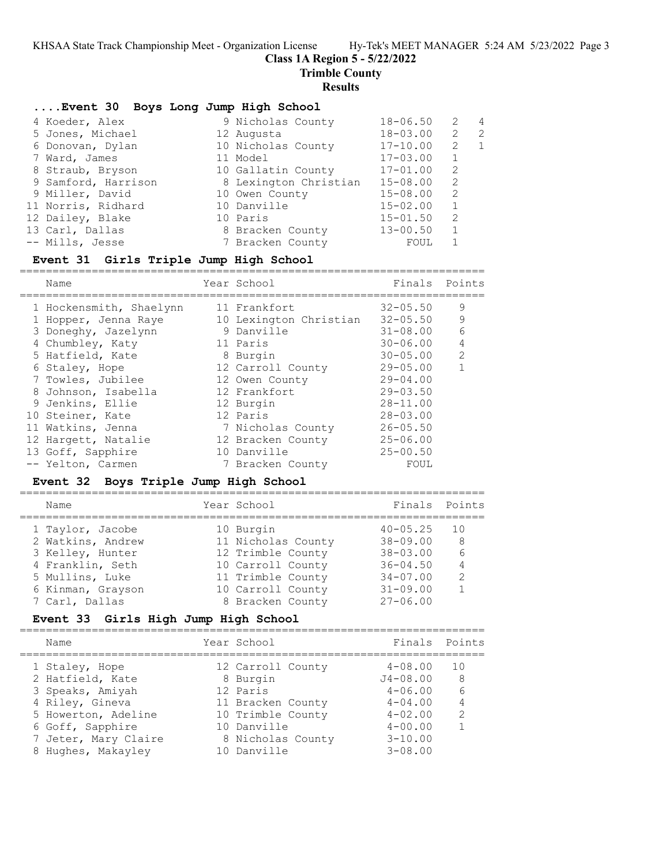**Class 1A Region 5 - 5/22/2022**

**Trimble County**

#### **Results**

| Event 30 Boys Long Jump High School |                       |              |              |                |
|-------------------------------------|-----------------------|--------------|--------------|----------------|
| 4 Koeder, Alex                      | 9 Nicholas County     | $18 - 06.50$ | 2            | $\overline{4}$ |
| 5 Jones, Michael                    | 12 Augusta            | $18 - 03.00$ | 2            | 2              |
| 6 Donovan, Dylan                    | 10 Nicholas County    | $17 - 10.00$ | 2            | 1              |
| 7 Ward, James                       | 11 Model              | $17 - 03.00$ | 1            |                |
| 8 Straub, Bryson                    | 10 Gallatin County    | $17 - 01.00$ | 2            |                |
| 9 Samford, Harrison                 | 8 Lexington Christian | $15 - 08.00$ | 2            |                |
| 9 Miller, David                     | 10 Owen County        | $15 - 08.00$ | 2            |                |
| 11 Norris, Ridhard                  | 10 Danville           | $15 - 02.00$ | $\mathbf{1}$ |                |
| 12 Dailey, Blake                    | 10 Paris              | $15 - 01.50$ | 2            |                |
| 13 Carl, Dallas                     | 8 Bracken County      | $13 - 00.50$ | 1            |                |
| -- Mills, Jesse                     | 7 Bracken County      | FOUL         |              |                |

### **Event 31 Girls Triple Jump High School**

| Name                 |                         |                                                                                                                                                                                                                                                          |                                               |
|----------------------|-------------------------|----------------------------------------------------------------------------------------------------------------------------------------------------------------------------------------------------------------------------------------------------------|-----------------------------------------------|
|                      |                         | $32 - 05.50$                                                                                                                                                                                                                                             | 9                                             |
| 1 Hopper, Jenna Raye |                         |                                                                                                                                                                                                                                                          | 9                                             |
| 3 Doneghy, Jazelynn  |                         | $31 - 08.00$                                                                                                                                                                                                                                             | 6                                             |
| 4 Chumbley, Katy     |                         | $30 - 06.00$                                                                                                                                                                                                                                             | $\overline{4}$                                |
| 5 Hatfield, Kate     |                         |                                                                                                                                                                                                                                                          | 2                                             |
| 6 Staley, Hope       |                         | $29 - 05.00$                                                                                                                                                                                                                                             |                                               |
| 7 Towles, Jubilee    |                         | $29 - 04.00$                                                                                                                                                                                                                                             |                                               |
| 8 Johnson, Isabella  |                         | $29 - 03.50$                                                                                                                                                                                                                                             |                                               |
| 9 Jenkins, Ellie     |                         | $28 - 11.00$                                                                                                                                                                                                                                             |                                               |
| 10 Steiner, Kate     |                         | $28 - 03.00$                                                                                                                                                                                                                                             |                                               |
| 11 Watkins, Jenna    |                         | $26 - 05.50$                                                                                                                                                                                                                                             |                                               |
| 12 Hargett, Natalie  |                         | $25 - 06.00$                                                                                                                                                                                                                                             |                                               |
| 13 Goff, Sapphire    |                         | $25 - 00.50$                                                                                                                                                                                                                                             |                                               |
| -- Yelton, Carmen    |                         | FOUL                                                                                                                                                                                                                                                     |                                               |
|                      | 1 Hockensmith, Shaelynn | Year School<br>11 Frankfort<br>10 Lexington Christian<br>9 Danville<br>11 Paris<br>8 Burgin<br>12 Carroll County<br>12 Owen County<br>12 Frankfort<br>12 Burgin<br>12 Paris<br>7 Nicholas County<br>12 Bracken County<br>10 Danville<br>7 Bracken County | Finals Points<br>$32 - 05.50$<br>$30 - 05.00$ |

# **Event 32 Boys Triple Jump High School**

| Name              | Year School        | Finals       | Points        |
|-------------------|--------------------|--------------|---------------|
| 1 Taylor, Jacobe  | 10 Burgin          | $40 - 05.25$ | 1 O           |
| 2 Watkins, Andrew | 11 Nicholas County | $38 - 09.00$ | 8             |
| 3 Kelley, Hunter  | 12 Trimble County  | $38 - 03.00$ | 6             |
| 4 Franklin, Seth  | 10 Carroll County  | $36 - 04.50$ | 4             |
| 5 Mullins, Luke   | 11 Trimble County  | $34 - 07.00$ | $\mathcal{L}$ |
| 6 Kinman, Grayson | 10 Carroll County  | $31 - 09.00$ |               |
| 7 Carl, Dallas    | 8 Bracken County   | $27 - 06.00$ |               |
|                   |                    |              |               |

### **Event 33 Girls High Jump High School**

| Finals Points<br>Year School<br>Name<br>$4 - 08.00$<br>12 Carroll County<br>1 O<br>1 Staley, Hope<br>2 Hatfield, Kate<br>$J4 - 08.00$<br>8 Burgin<br>8<br>6<br>3 Speaks, Amiyah<br>12 Paris<br>$4 - 06.00$<br>4 Riley, Gineva<br>$4 - 04.00$<br>11 Bracken County<br>10 Trimble County<br>5 Howerton, Adeline<br>$4 - 02.00$<br>$\mathcal{L}$<br>10 Danville<br>6 Goff, Sapphire<br>$4 - 00.00$<br>7 Jeter, Mary Claire<br>$3 - 10.00$<br>8 Nicholas County<br>10 Danville<br>$3 - 08.00$<br>8 Hughes, Makayley |  |  |  |
|-----------------------------------------------------------------------------------------------------------------------------------------------------------------------------------------------------------------------------------------------------------------------------------------------------------------------------------------------------------------------------------------------------------------------------------------------------------------------------------------------------------------|--|--|--|
|                                                                                                                                                                                                                                                                                                                                                                                                                                                                                                                 |  |  |  |
|                                                                                                                                                                                                                                                                                                                                                                                                                                                                                                                 |  |  |  |
|                                                                                                                                                                                                                                                                                                                                                                                                                                                                                                                 |  |  |  |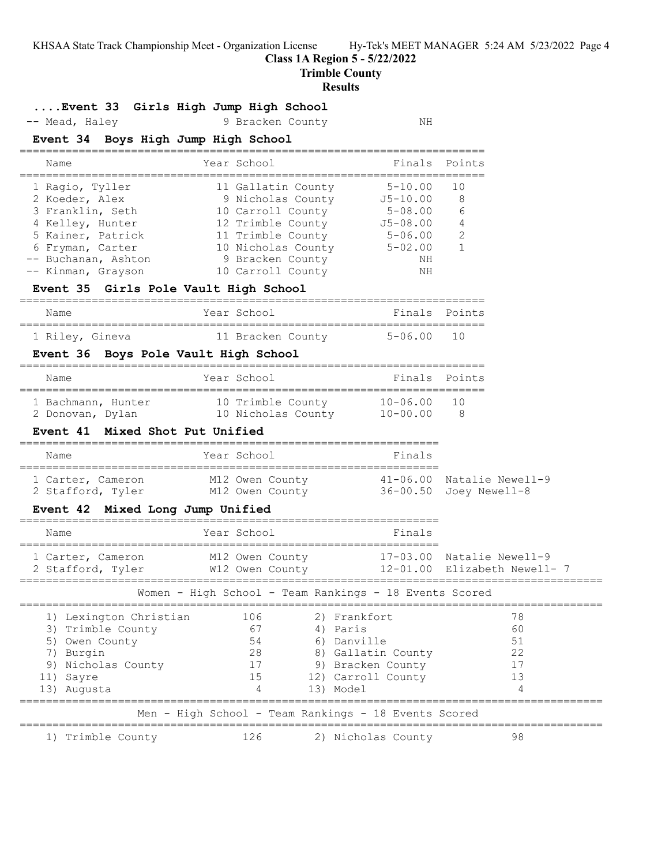**Class 1A Region 5 - 5/22/2022**

**Trimble County**

#### **Results**

### **....Event 33 Girls High Jump High School**

-- Mead, Haley 3 Bracken County 19 NH

### **Event 34 Boys High Jump High School**

| Name                | Year School        | Finals Points |               |
|---------------------|--------------------|---------------|---------------|
| 1 Ragio, Tyller     | 11 Gallatin County | $5 - 10.00$   | 1 N           |
| 2 Koeder, Alex      | 9 Nicholas County  | $J5 - 10.00$  | - 8           |
| 3 Franklin, Seth    | 10 Carroll County  | $5 - 08.00$   | 6             |
| 4 Kelley, Hunter    | 12 Trimble County  | $J5 - 08.00$  | 4             |
| 5 Kainer, Patrick   | 11 Trimble County  | $5 - 06.00$   | $\mathcal{L}$ |
| 6 Fryman, Carter    | 10 Nicholas County | $5 - 02.00$   |               |
| -- Buchanan, Ashton | 9 Bracken County   | NΗ            |               |
| -- Kinman, Grayson  | 10 Carroll County  | NΗ            |               |

#### **Event 35 Girls Pole Vault High School**

### ======================================================================= Year School **Finals** Points ======================================================================= 1 Riley, Gineva 11 Bracken County 5-06.00 10

### **Event 36 Boys Pole Vault High School**

| Name               |  | Year School        | Finals Points |      |  |  |  |
|--------------------|--|--------------------|---------------|------|--|--|--|
| 1 Bachmann, Hunter |  | 10 Trimble County  | $10 - 06.00$  | - 10 |  |  |  |
| 2 Donovan, Dylan   |  | 10 Nicholas County | $10 - 00.00$  |      |  |  |  |

#### **Event 41 Mixed Shot Put Unified**

| Year School<br>Name                                                          | Finals |                                                         |
|------------------------------------------------------------------------------|--------|---------------------------------------------------------|
|                                                                              |        |                                                         |
| M12 Owen County<br>1 Carter, Cameron<br>2 Stafford, Tyler<br>M12 Owen County |        | $41-06.00$ Natalie Newell-9<br>$36-00.50$ Joey Newell-8 |

#### **Event 42 Mixed Long Jump Unified**

| Name                                                                                                                               | Year School                 |                                    | Finals                                                                                                                |                                                           |  |  |  |
|------------------------------------------------------------------------------------------------------------------------------------|-----------------------------|------------------------------------|-----------------------------------------------------------------------------------------------------------------------|-----------------------------------------------------------|--|--|--|
| 1 Carter, Cameron<br>2 Stafford, Tyler                                                                                             |                             | M12 Owen County<br>W12 Owen County |                                                                                                                       | 17-03.00 Natalie Newell-9<br>12-01.00 Elizabeth Newell- 7 |  |  |  |
| Women - High School - Team Rankings - 18 Events Scored                                                                             |                             |                                    |                                                                                                                       |                                                           |  |  |  |
| 1) Lexington Christian<br>3) Trimble County<br>Owen County<br>5)<br>Burgin<br>7)<br>9) Nicholas County<br>11) Sayre<br>13) Augusta | 106<br>67<br>54<br>28<br>15 | 4                                  | 2) Frankfort<br>4) Paris<br>6) Danville<br>8) Gallatin County<br>9) Bracken County<br>12) Carroll County<br>13) Model | 78<br>60<br>51<br>22<br>13                                |  |  |  |
| Men - High School - Team Rankings - 18 Events Scored                                                                               |                             |                                    |                                                                                                                       |                                                           |  |  |  |
| 1) Trimble County                                                                                                                  | 126                         |                                    | 2) Nicholas County                                                                                                    | 98                                                        |  |  |  |